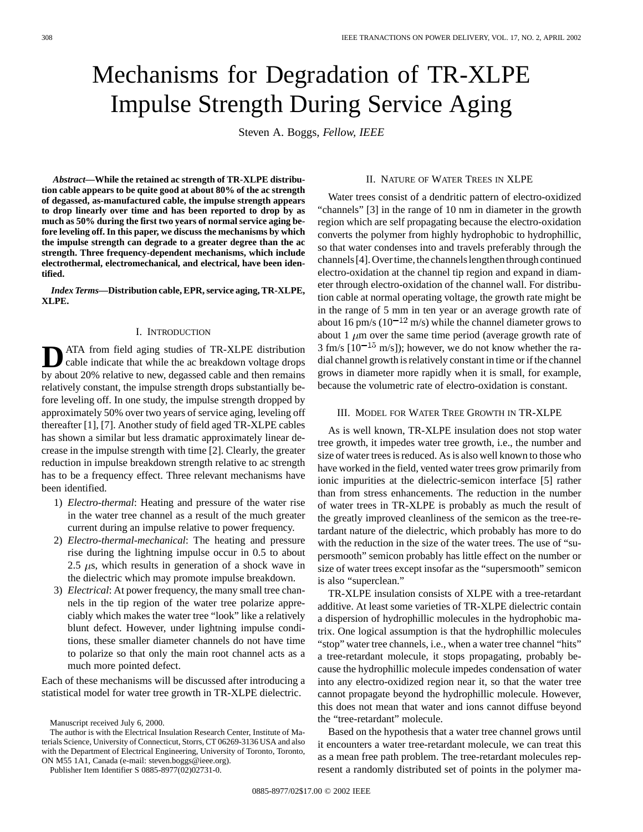# Mechanisms for Degradation of TR-XLPE Impulse Strength During Service Aging

Steven A. Boggs*, Fellow, IEEE*

*Abstract—***While the retained ac strength of TR-XLPE distribution cable appears to be quite good at about 80% of the ac strength of degassed, as-manufactured cable, the impulse strength appears to drop linearly over time and has been reported to drop by as much as 50% during the first two years of normal service aging before leveling off. In this paper, we discuss the mechanisms by which the impulse strength can degrade to a greater degree than the ac strength. Three frequency-dependent mechanisms, which include electrothermal, electromechanical, and electrical, have been identified.**

*Index Terms—***Distribution cable, EPR, service aging, TR-XLPE, XLPE.**

## I. INTRODUCTION

**D**ATA from field aging studies of TR-XLPE distribution cable indicate that while the ac breakdown voltage drops by about 20% relative to new, degassed cable and then remains relatively constant, the impulse strength drops substantially before leveling off. In one study, the impulse strength dropped by approximately 50% over two years of service aging, leveling off thereafter [1], [7]. Another study of field aged TR-XLPE cables has shown a similar but less dramatic approximately linear decrease in the impulse strength with time [2]. Clearly, the greater reduction in impulse breakdown strength relative to ac strength has to be a frequency effect. Three relevant mechanisms have been identified.

- 1) *Electro-thermal*: Heating and pressure of the water rise in the water tree channel as a result of the much greater current during an impulse relative to power frequency.
- 2) *Electro-thermal-mechanical*: The heating and pressure rise during the lightning impulse occur in 0.5 to about 2.5  $\mu$ s, which results in generation of a shock wave in the dielectric which may promote impulse breakdown.
- 3) *Electrical*: At power frequency, the many small tree channels in the tip region of the water tree polarize appreciably which makes the water tree "look" like a relatively blunt defect. However, under lightning impulse conditions, these smaller diameter channels do not have time to polarize so that only the main root channel acts as a much more pointed defect.

Each of these mechanisms will be discussed after introducing a statistical model for water tree growth in TR-XLPE dielectric.

The author is with the Electrical Insulation Research Center, Institute of Materials Science, University of Connecticut, Storrs, CT 06269-3136 USA and also with the Department of Electrical Engineering, University of Toronto, Toronto, ON M55 1A1, Canada (e-mail: steven.boggs@ieee.org).

Publisher Item Identifier S 0885-8977(02)02731-0.

# II. NATURE OF WATER TREES IN XLPE

Water trees consist of a dendritic pattern of electro-oxidized "channels" [3] in the range of 10 nm in diameter in the growth region which are self propagating because the electro-oxidation converts the polymer from highly hydrophobic to hydrophillic, so that water condenses into and travels preferably through the channels [4]. Over time, the channels lengthen through continued electro-oxidation at the channel tip region and expand in diameter through electro-oxidation of the channel wall. For distribution cable at normal operating voltage, the growth rate might be in the range of 5 mm in ten year or an average growth rate of about 16 pm/s ( $10^{-12}$  m/s) while the channel diameter grows to about 1  $\mu$ m over the same time period (average growth rate of 3 fm/s  $[10^{-15}$  m/s]); however, we do not know whether the radial channel growth is relatively constant in time or if the channel grows in diameter more rapidly when it is small, for example, because the volumetric rate of electro-oxidation is constant.

# III. MODEL FOR WATER TREE GROWTH IN TR-XLPE

As is well known, TR-XLPE insulation does not stop water tree growth, it impedes water tree growth, i.e., the number and size of water trees is reduced. As is also well known to those who have worked in the field, vented water trees grow primarily from ionic impurities at the dielectric-semicon interface [5] rather than from stress enhancements. The reduction in the number of water trees in TR-XLPE is probably as much the result of the greatly improved cleanliness of the semicon as the tree-retardant nature of the dielectric, which probably has more to do with the reduction in the size of the water trees. The use of "supersmooth" semicon probably has little effect on the number or size of water trees except insofar as the "supersmooth" semicon is also "superclean."

TR-XLPE insulation consists of XLPE with a tree-retardant additive. At least some varieties of TR-XLPE dielectric contain a dispersion of hydrophillic molecules in the hydrophobic matrix. One logical assumption is that the hydrophillic molecules "stop" water tree channels, i.e., when a water tree channel "hits" a tree-retardant molecule, it stops propagating, probably because the hydrophillic molecule impedes condensation of water into any electro-oxidized region near it, so that the water tree cannot propagate beyond the hydrophillic molecule. However, this does not mean that water and ions cannot diffuse beyond the "tree-retardant" molecule.

Based on the hypothesis that a water tree channel grows until it encounters a water tree-retardant molecule, we can treat this as a mean free path problem. The tree-retardant molecules represent a randomly distributed set of points in the polymer ma-

Manuscript received July 6, 2000.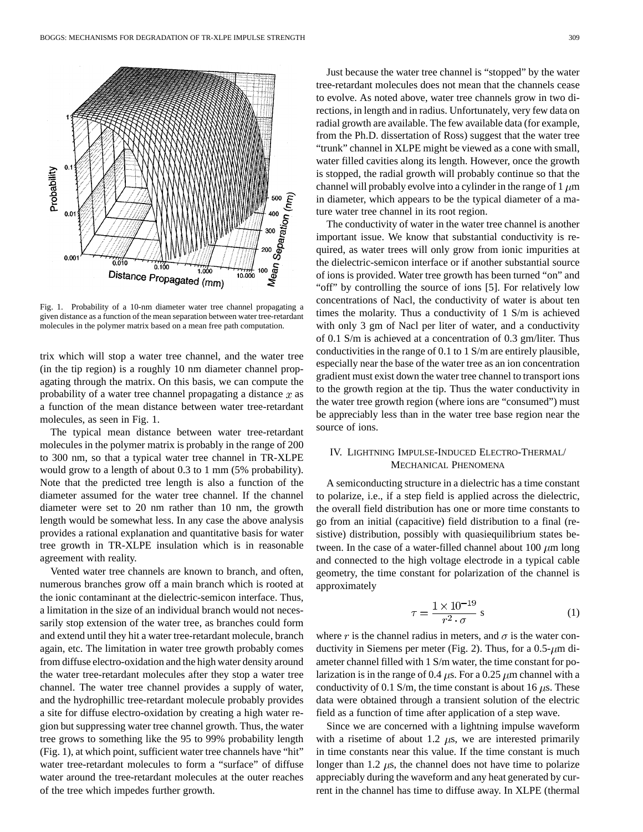

Fig. 1. Probability of a 10-nm diameter water tree channel propagating a given distance as a function of the mean separation between water tree-retardant molecules in the polymer matrix based on a mean free path computation.

trix which will stop a water tree channel, and the water tree (in the tip region) is a roughly 10 nm diameter channel propagating through the matrix. On this basis, we can compute the probability of a water tree channel propagating a distance  $x$  as a function of the mean distance between water tree-retardant molecules, as seen in Fig. 1.

The typical mean distance between water tree-retardant molecules in the polymer matrix is probably in the range of 200 to 300 nm, so that a typical water tree channel in TR-XLPE would grow to a length of about 0.3 to 1 mm (5% probability). Note that the predicted tree length is also a function of the diameter assumed for the water tree channel. If the channel diameter were set to 20 nm rather than 10 nm, the growth length would be somewhat less. In any case the above analysis provides a rational explanation and quantitative basis for water tree growth in TR-XLPE insulation which is in reasonable agreement with reality.

Vented water tree channels are known to branch, and often, numerous branches grow off a main branch which is rooted at the ionic contaminant at the dielectric-semicon interface. Thus, a limitation in the size of an individual branch would not necessarily stop extension of the water tree, as branches could form and extend until they hit a water tree-retardant molecule, branch again, etc. The limitation in water tree growth probably comes from diffuse electro-oxidation and the high water density around the water tree-retardant molecules after they stop a water tree channel. The water tree channel provides a supply of water, and the hydrophillic tree-retardant molecule probably provides a site for diffuse electro-oxidation by creating a high water region but suppressing water tree channel growth. Thus, the water tree grows to something like the 95 to 99% probability length (Fig. 1), at which point, sufficient water tree channels have "hit" water tree-retardant molecules to form a "surface" of diffuse water around the tree-retardant molecules at the outer reaches of the tree which impedes further growth.

Just because the water tree channel is "stopped" by the water tree-retardant molecules does not mean that the channels cease to evolve. As noted above, water tree channels grow in two directions, in length and in radius. Unfortunately, very few data on radial growth are available. The few available data (for example, from the Ph.D. dissertation of Ross) suggest that the water tree "trunk" channel in XLPE might be viewed as a cone with small, water filled cavities along its length. However, once the growth is stopped, the radial growth will probably continue so that the channel will probably evolve into a cylinder in the range of 1  $\mu$ m in diameter, which appears to be the typical diameter of a mature water tree channel in its root region.

The conductivity of water in the water tree channel is another important issue. We know that substantial conductivity is required, as water trees will only grow from ionic impurities at the dielectric-semicon interface or if another substantial source of ions is provided. Water tree growth has been turned "on" and "off" by controlling the source of ions [5]. For relatively low concentrations of Nacl, the conductivity of water is about ten times the molarity. Thus a conductivity of 1 S/m is achieved with only 3 gm of Nacl per liter of water, and a conductivity of 0.1 S/m is achieved at a concentration of 0.3 gm/liter. Thus conductivities in the range of 0.1 to 1 S/m are entirely plausible, especially near the base of the water tree as an ion concentration gradient must exist down the water tree channel to transport ions to the growth region at the tip. Thus the water conductivity in the water tree growth region (where ions are "consumed") must be appreciably less than in the water tree base region near the source of ions.

# IV. LIGHTNING IMPULSE-INDUCED ELECTRO-THERMAL/ MECHANICAL PHENOMENA

A semiconducting structure in a dielectric has a time constant to polarize, i.e., if a step field is applied across the dielectric, the overall field distribution has one or more time constants to go from an initial (capacitive) field distribution to a final (resistive) distribution, possibly with quasiequilibrium states between. In the case of a water-filled channel about 100  $\mu$ m long and connected to the high voltage electrode in a typical cable geometry, the time constant for polarization of the channel is approximately

$$
\tau = \frac{1 \times 10^{-19}}{r^2 \cdot \sigma} \text{ s} \tag{1}
$$

where r is the channel radius in meters, and  $\sigma$  is the water conductivity in Siemens per meter (Fig. 2). Thus, for a  $0.5-\mu m$  diameter channel filled with 1 S/m water, the time constant for polarization is in the range of 0.4  $\mu$ s. For a 0.25  $\mu$ m channel with a conductivity of 0.1 S/m, the time constant is about 16  $\mu$ s. These data were obtained through a transient solution of the electric field as a function of time after application of a step wave.

Since we are concerned with a lightning impulse waveform with a risetime of about 1.2  $\mu$ s, we are interested primarily in time constants near this value. If the time constant is much longer than 1.2  $\mu$ s, the channel does not have time to polarize appreciably during the waveform and any heat generated by current in the channel has time to diffuse away. In XLPE (thermal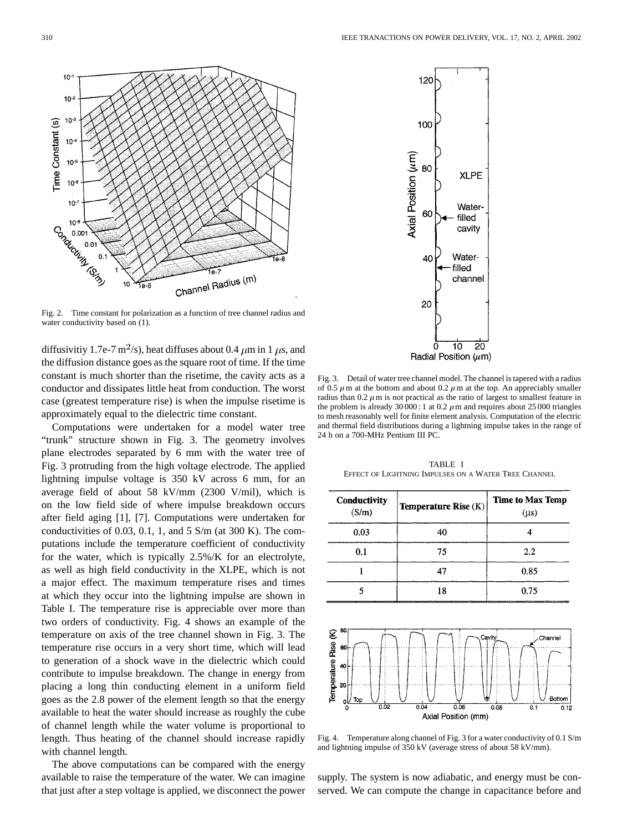

Fig. 2. Time constant for polarization as a function of tree channel radius and water conductivity based on  $(1)$ .

diffusivitiy 1.7e-7 m<sup>2</sup>/s), heat diffuses about 0.4  $\mu$ m in 1  $\mu$ s, and the diffusion distance goes as the square root of time. If the time constant is much shorter than the risetime, the cavity acts as a conductor and dissipates little heat from conduction. The worst case (greatest temperature rise) is when the impulse risetime is approximately equal to the dielectric time constant.

Computations were undertaken for a model water tree "trunk" structure shown in Fig. 3. The geometry involves plane electrodes separated by 6 mm with the water tree of Fig. 3 protruding from the high voltage electrode. The applied lightning impulse voltage is 350 kV across 6 mm, for an average field of about 58 kV/mm (2300 V/mil), which is on the low field side of where impulse breakdown occurs after field aging [1], [7]. Computations were undertaken for conductivities of 0.03, 0.1, 1, and 5 S/m (at 300 K). The computations include the temperature coefficient of conductivity for the water, which is typically 2.5%/K for an electrolyte, as well as high field conductivity in the XLPE, which is not a major effect. The maximum temperature rises and times at which they occur into the lightning impulse are shown in Table I. The temperature rise is appreciable over more than two orders of conductivity. Fig. 4 shows an example of the temperature on axis of the tree channel shown in Fig. 3. The temperature rise occurs in a very short time, which will lead to generation of a shock wave in the dielectric which could contribute to impulse breakdown. The change in energy from placing a long thin conducting element in a uniform field goes as the 2.8 power of the element length so that the energy available to heat the water should increase as roughly the cube of channel length while the water volume is proportional to length. Thus heating of the channel should increase rapidly with channel length.

The above computations can be compared with the energy available to raise the temperature of the water. We can imagine that just after a step voltage is applied, we disconnect the power



Fig. 3. Detail of water tree channel model. The channel is tapered with a radius of 0.5  $\mu$ m at the bottom and about 0.2  $\mu$ m at the top. An appreciably smaller radius than 0.2  $\mu$ m is not practical as the ratio of largest to smallest feature in the problem is already  $30000:1$  at 0.2  $\mu$ m and requires about 25 000 triangles to mesh reasonably well for finite element analysis. Computation of the electric and thermal field distributions during a lightning impulse takes in the range of 24 h on a 700-MHz Pentium III PC.

TABLE I EFFECT OF LIGHTNING IMPULSES ON A WATER TREE CHANNEL

| Conductivity<br>(S/m)                                                 | Temperature Rise (K)                | Time to Max Temp<br>$(\mu s)$                       |
|-----------------------------------------------------------------------|-------------------------------------|-----------------------------------------------------|
| 0.03                                                                  | 40                                  | 4                                                   |
| 0.1                                                                   | 75                                  | 2.2                                                 |
| 1                                                                     | 47                                  | 0.85                                                |
| 5                                                                     | 18                                  | 0.75                                                |
| 80<br>Temperature Rise (K)<br>60<br>40<br>20<br>Top<br>٥<br>0.02<br>0 | 0.04<br>0.06<br>Axial Position (mm) | Cavity:<br>Channel<br>Bottom<br>0.08<br>0.1<br>0.12 |

Fig. 4. Temperature along channel of Fig. 3 for a water conductivity of 0.1 S/m and lightning impulse of 350 kV (average stress of about 58 kV/mm).

supply. The system is now adiabatic, and energy must be conserved. We can compute the change in capacitance before and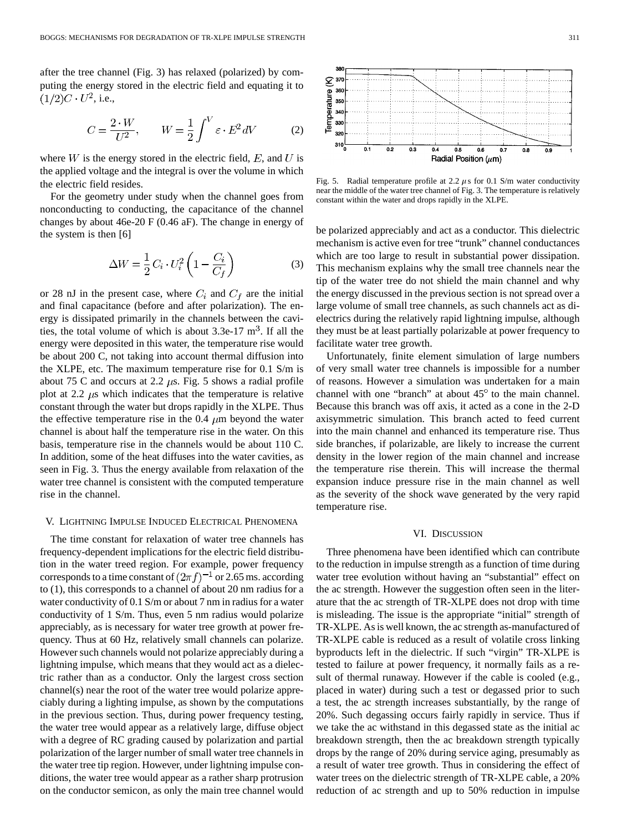after the tree channel (Fig. 3) has relaxed (polarized) by computing the energy stored in the electric field and equating it to  $(1/2)C \cdot U^2$ , i.e.,

$$
C = \frac{2 \cdot W}{U^2}, \qquad W = \frac{1}{2} \int^V \varepsilon \cdot E^2 dV \tag{2}
$$

where  $W$  is the energy stored in the electric field,  $E$ , and  $U$  is the applied voltage and the integral is over the volume in which the electric field resides.

For the geometry under study when the channel goes from nonconducting to conducting, the capacitance of the channel changes by about 46e-20 F (0.46 aF). The change in energy of the system is then [6]

$$
\Delta W = \frac{1}{2} C_i \cdot U_i^2 \left( 1 - \frac{C_i}{C_f} \right) \tag{3}
$$

or 28 nJ in the present case, where  $C_i$  and  $C_f$  are the initial and final capacitance (before and after polarization). The energy is dissipated primarily in the channels between the cavities, the total volume of which is about  $3.3e-17 \text{ m}^3$ . If all the energy were deposited in this water, the temperature rise would be about 200 C, not taking into account thermal diffusion into the XLPE, etc. The maximum temperature rise for 0.1 S/m is about 75 C and occurs at 2.2  $\mu$ s. Fig. 5 shows a radial profile plot at 2.2  $\mu$ s which indicates that the temperature is relative constant through the water but drops rapidly in the XLPE. Thus the effective temperature rise in the 0.4  $\mu$ m beyond the water channel is about half the temperature rise in the water. On this basis, temperature rise in the channels would be about 110 C. In addition, some of the heat diffuses into the water cavities, as seen in Fig. 3. Thus the energy available from relaxation of the water tree channel is consistent with the computed temperature rise in the channel.

# V. LIGHTNING IMPULSE INDUCED ELECTRICAL PHENOMENA

The time constant for relaxation of water tree channels has frequency-dependent implications for the electric field distribution in the water treed region. For example, power frequency corresponds to a time constant of  $(2\pi f)^{-1}$  or 2.65 ms. according to (1), this corresponds to a channel of about 20 nm radius for a water conductivity of 0.1 S/m or about 7 nm in radius for a water conductivity of 1 S/m. Thus, even 5 nm radius would polarize appreciably, as is necessary for water tree growth at power frequency. Thus at 60 Hz, relatively small channels can polarize. However such channels would not polarize appreciably during a lightning impulse, which means that they would act as a dielectric rather than as a conductor. Only the largest cross section channel(s) near the root of the water tree would polarize appreciably during a lighting impulse, as shown by the computations in the previous section. Thus, during power frequency testing, the water tree would appear as a relatively large, diffuse object with a degree of RC grading caused by polarization and partial polarization of the larger number of small water tree channels in the water tree tip region. However, under lightning impulse conditions, the water tree would appear as a rather sharp protrusion on the conductor semicon, as only the main tree channel would



Fig. 5. Radial temperature profile at 2.2  $\mu$ s for 0.1 S/m water conductivity near the middle of the water tree channel of Fig. 3. The temperature is relatively constant within the water and drops rapidly in the XLPE.

be polarized appreciably and act as a conductor. This dielectric mechanism is active even for tree "trunk" channel conductances which are too large to result in substantial power dissipation. This mechanism explains why the small tree channels near the tip of the water tree do not shield the main channel and why the energy discussed in the previous section is not spread over a large volume of small tree channels, as such channels act as dielectrics during the relatively rapid lightning impulse, although they must be at least partially polarizable at power frequency to facilitate water tree growth.

Unfortunately, finite element simulation of large numbers of very small water tree channels is impossible for a number of reasons. However a simulation was undertaken for a main channel with one "branch" at about  $45^{\circ}$  to the main channel. Because this branch was off axis, it acted as a cone in the 2-D axisymmetric simulation. This branch acted to feed current into the main channel and enhanced its temperature rise. Thus side branches, if polarizable, are likely to increase the current density in the lower region of the main channel and increase the temperature rise therein. This will increase the thermal expansion induce pressure rise in the main channel as well as the severity of the shock wave generated by the very rapid temperature rise.

#### VI. DISCUSSION

Three phenomena have been identified which can contribute to the reduction in impulse strength as a function of time during water tree evolution without having an "substantial" effect on the ac strength. However the suggestion often seen in the literature that the ac strength of TR-XLPE does not drop with time is misleading. The issue is the appropriate "initial" strength of TR-XLPE. As is well known, the ac strength as-manufactured of TR-XLPE cable is reduced as a result of volatile cross linking byproducts left in the dielectric. If such "virgin" TR-XLPE is tested to failure at power frequency, it normally fails as a result of thermal runaway. However if the cable is cooled (e.g., placed in water) during such a test or degassed prior to such a test, the ac strength increases substantially, by the range of 20%. Such degassing occurs fairly rapidly in service. Thus if we take the ac withstand in this degassed state as the initial ac breakdown strength, then the ac breakdown strength typically drops by the range of 20% during service aging, presumably as a result of water tree growth. Thus in considering the effect of water trees on the dielectric strength of TR-XLPE cable, a 20% reduction of ac strength and up to 50% reduction in impulse